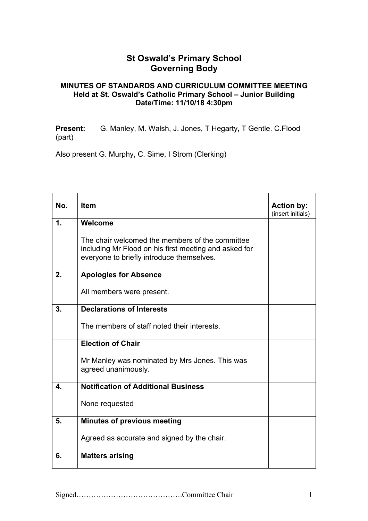## **St Oswald's Primary School Governing Body**

## **MINUTES OF STANDARDS AND CURRICULUM COMMITTEE MEETING Held at St. Oswald's Catholic Primary School – Junior Building Date/Time: 11/10/18 4:30pm**

**Present:** G. Manley, M. Walsh, J. Jones, T Hegarty, T Gentle. C.Flood (part)

Also present G. Murphy, C. Sime, I Strom (Clerking)

| No. | <b>Item</b>                                                                                                                                           | <b>Action by:</b><br>(insert initials) |
|-----|-------------------------------------------------------------------------------------------------------------------------------------------------------|----------------------------------------|
| 1.  | Welcome                                                                                                                                               |                                        |
|     | The chair welcomed the members of the committee<br>including Mr Flood on his first meeting and asked for<br>everyone to briefly introduce themselves. |                                        |
| 2.  | <b>Apologies for Absence</b>                                                                                                                          |                                        |
|     | All members were present.                                                                                                                             |                                        |
| 3.  | <b>Declarations of Interests</b>                                                                                                                      |                                        |
|     | The members of staff noted their interests.                                                                                                           |                                        |
|     | <b>Election of Chair</b>                                                                                                                              |                                        |
|     | Mr Manley was nominated by Mrs Jones. This was<br>agreed unanimously.                                                                                 |                                        |
| 4.  | <b>Notification of Additional Business</b>                                                                                                            |                                        |
|     | None requested                                                                                                                                        |                                        |
| 5.  | <b>Minutes of previous meeting</b>                                                                                                                    |                                        |
|     | Agreed as accurate and signed by the chair.                                                                                                           |                                        |
| 6.  | <b>Matters arising</b>                                                                                                                                |                                        |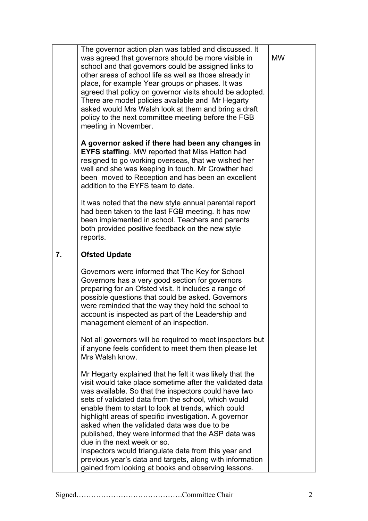|    | The governor action plan was tabled and discussed. It<br>was agreed that governors should be more visible in<br>school and that governors could be assigned links to<br>other areas of school life as well as those already in<br>place, for example Year groups or phases. It was<br>agreed that policy on governor visits should be adopted.<br>There are model policies available and Mr Hegarty<br>asked would Mrs Walsh look at them and bring a draft<br>policy to the next committee meeting before the FGB<br>meeting in November.<br>A governor asked if there had been any changes in | <b>MW</b> |
|----|-------------------------------------------------------------------------------------------------------------------------------------------------------------------------------------------------------------------------------------------------------------------------------------------------------------------------------------------------------------------------------------------------------------------------------------------------------------------------------------------------------------------------------------------------------------------------------------------------|-----------|
|    | <b>EYFS staffing.</b> MW reported that Miss Hatton had<br>resigned to go working overseas, that we wished her<br>well and she was keeping in touch. Mr Crowther had<br>been moved to Reception and has been an excellent<br>addition to the EYFS team to date.                                                                                                                                                                                                                                                                                                                                  |           |
|    | It was noted that the new style annual parental report<br>had been taken to the last FGB meeting. It has now<br>been implemented in school. Teachers and parents<br>both provided positive feedback on the new style<br>reports.                                                                                                                                                                                                                                                                                                                                                                |           |
| 7. | <b>Ofsted Update</b>                                                                                                                                                                                                                                                                                                                                                                                                                                                                                                                                                                            |           |
|    | Governors were informed that The Key for School<br>Governors has a very good section for governors<br>preparing for an Ofsted visit. It includes a range of<br>possible questions that could be asked. Governors<br>were reminded that the way they hold the school to<br>account is inspected as part of the Leadership and<br>management element of an inspection.                                                                                                                                                                                                                            |           |
|    | Not all governors will be required to meet inspectors but<br>if anyone feels confident to meet them then please let<br>Mrs Walsh know.                                                                                                                                                                                                                                                                                                                                                                                                                                                          |           |
|    | Mr Hegarty explained that he felt it was likely that the<br>visit would take place sometime after the validated data<br>was available. So that the inspectors could have two<br>sets of validated data from the school, which would<br>enable them to start to look at trends, which could<br>highlight areas of specific investigation. A governor<br>asked when the validated data was due to be<br>published, they were informed that the ASP data was<br>due in the next week or so.<br>Inspectors would triangulate data from this year and                                                |           |
|    | previous year's data and targets, along with information<br>gained from looking at books and observing lessons.                                                                                                                                                                                                                                                                                                                                                                                                                                                                                 |           |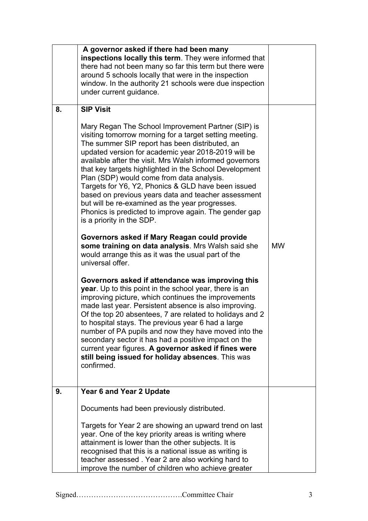|    | A governor asked if there had been many<br>inspections locally this term. They were informed that<br>there had not been many so far this term but there were<br>around 5 schools locally that were in the inspection<br>window. In the authority 21 schools were due inspection<br>under current guidance.                                                                                                                                                                                                                                                                                                                                                                                                                                                                                                                                                                                                                                                                                                                                                                                                                                                                                                                                                                                                                                                                                                                                    |           |
|----|-----------------------------------------------------------------------------------------------------------------------------------------------------------------------------------------------------------------------------------------------------------------------------------------------------------------------------------------------------------------------------------------------------------------------------------------------------------------------------------------------------------------------------------------------------------------------------------------------------------------------------------------------------------------------------------------------------------------------------------------------------------------------------------------------------------------------------------------------------------------------------------------------------------------------------------------------------------------------------------------------------------------------------------------------------------------------------------------------------------------------------------------------------------------------------------------------------------------------------------------------------------------------------------------------------------------------------------------------------------------------------------------------------------------------------------------------|-----------|
| 8. | <b>SIP Visit</b><br>Mary Regan The School Improvement Partner (SIP) is<br>visiting tomorrow morning for a target setting meeting.<br>The summer SIP report has been distributed, an<br>updated version for academic year 2018-2019 will be<br>available after the visit. Mrs Walsh informed governors<br>that key targets highlighted in the School Development<br>Plan (SDP) would come from data analysis.<br>Targets for Y6, Y2, Phonics & GLD have been issued<br>based on previous years data and teacher assessment<br>but will be re-examined as the year progresses.<br>Phonics is predicted to improve again. The gender gap<br>is a priority in the SDP.<br>Governors asked if Mary Reagan could provide<br>some training on data analysis. Mrs Walsh said she<br>would arrange this as it was the usual part of the<br>universal offer.<br>Governors asked if attendance was improving this<br>year. Up to this point in the school year, there is an<br>improving picture, which continues the improvements<br>made last year. Persistent absence is also improving.<br>Of the top 20 absentees, 7 are related to holidays and 2<br>to hospital stays. The previous year 6 had a large<br>number of PA pupils and now they have moved into the<br>secondary sector it has had a positive impact on the<br>current year figures. A governor asked if fines were<br>still being issued for holiday absences. This was<br>confirmed. | <b>MW</b> |
| 9. | Year 6 and Year 2 Update                                                                                                                                                                                                                                                                                                                                                                                                                                                                                                                                                                                                                                                                                                                                                                                                                                                                                                                                                                                                                                                                                                                                                                                                                                                                                                                                                                                                                      |           |
|    | Documents had been previously distributed.                                                                                                                                                                                                                                                                                                                                                                                                                                                                                                                                                                                                                                                                                                                                                                                                                                                                                                                                                                                                                                                                                                                                                                                                                                                                                                                                                                                                    |           |
|    | Targets for Year 2 are showing an upward trend on last<br>year. One of the key priority areas is writing where<br>attainment is lower than the other subjects. It is<br>recognised that this is a national issue as writing is<br>teacher assessed. Year 2 are also working hard to<br>improve the number of children who achieve greater                                                                                                                                                                                                                                                                                                                                                                                                                                                                                                                                                                                                                                                                                                                                                                                                                                                                                                                                                                                                                                                                                                     |           |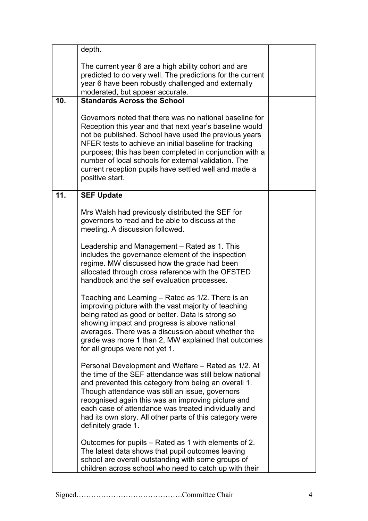|                 | depth.                                                                                                                                                                                                                                                                                                                                                                                                                               |  |
|-----------------|--------------------------------------------------------------------------------------------------------------------------------------------------------------------------------------------------------------------------------------------------------------------------------------------------------------------------------------------------------------------------------------------------------------------------------------|--|
|                 | The current year 6 are a high ability cohort and are<br>predicted to do very well. The predictions for the current<br>year 6 have been robustly challenged and externally<br>moderated, but appear accurate.                                                                                                                                                                                                                         |  |
| 10 <sub>1</sub> | <b>Standards Across the School</b>                                                                                                                                                                                                                                                                                                                                                                                                   |  |
|                 | Governors noted that there was no national baseline for<br>Reception this year and that next year's baseline would<br>not be published. School have used the previous years<br>NFER tests to achieve an initial baseline for tracking<br>purposes; this has been completed in conjunction with a<br>number of local schools for external validation. The<br>current reception pupils have settled well and made a<br>positive start. |  |
| 11.             | <b>SEF Update</b>                                                                                                                                                                                                                                                                                                                                                                                                                    |  |
|                 | Mrs Walsh had previously distributed the SEF for<br>governors to read and be able to discuss at the<br>meeting. A discussion followed.                                                                                                                                                                                                                                                                                               |  |
|                 | Leadership and Management – Rated as 1. This<br>includes the governance element of the inspection<br>regime. MW discussed how the grade had been<br>allocated through cross reference with the OFSTED<br>handbook and the self evaluation processes.                                                                                                                                                                                 |  |
|                 | Teaching and Learning – Rated as 1/2. There is an<br>improving picture with the vast majority of teaching<br>being rated as good or better. Data is strong so<br>showing impact and progress is above national<br>averages. There was a discussion about whether the<br>grade was more 1 than 2, MW explained that outcomes<br>for all groups were not yet 1.                                                                        |  |
|                 | Personal Development and Welfare – Rated as 1/2. At<br>the time of the SEF attendance was still below national<br>and prevented this category from being an overall 1.<br>Though attendance was still an issue, governors<br>recognised again this was an improving picture and<br>each case of attendance was treated individually and<br>had its own story. All other parts of this category were<br>definitely grade 1.           |  |
|                 | Outcomes for pupils – Rated as 1 with elements of 2.<br>The latest data shows that pupil outcomes leaving<br>school are overall outstanding with some groups of<br>children across school who need to catch up with their                                                                                                                                                                                                            |  |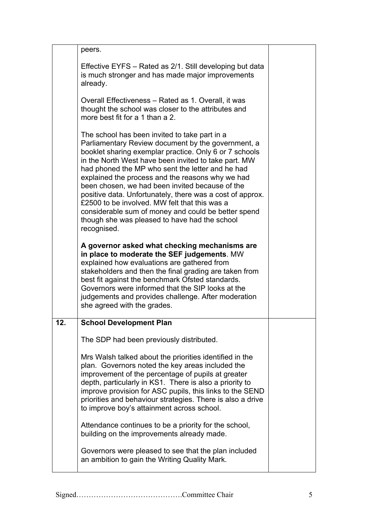|     | peers.                                                                                                                                                                                                                                                                                                                                                                                                                                                                                                                                                                                                                |  |
|-----|-----------------------------------------------------------------------------------------------------------------------------------------------------------------------------------------------------------------------------------------------------------------------------------------------------------------------------------------------------------------------------------------------------------------------------------------------------------------------------------------------------------------------------------------------------------------------------------------------------------------------|--|
|     | Effective EYFS – Rated as 2/1. Still developing but data<br>is much stronger and has made major improvements<br>already.                                                                                                                                                                                                                                                                                                                                                                                                                                                                                              |  |
|     | Overall Effectiveness – Rated as 1. Overall, it was<br>thought the school was closer to the attributes and<br>more best fit for a 1 than a 2.                                                                                                                                                                                                                                                                                                                                                                                                                                                                         |  |
|     | The school has been invited to take part in a<br>Parliamentary Review document by the government, a<br>booklet sharing exemplar practice. Only 6 or 7 schools<br>in the North West have been invited to take part. MW<br>had phoned the MP who sent the letter and he had<br>explained the process and the reasons why we had<br>been chosen, we had been invited because of the<br>positive data. Unfortunately, there was a cost of approx.<br>£2500 to be involved. MW felt that this was a<br>considerable sum of money and could be better spend<br>though she was pleased to have had the school<br>recognised. |  |
|     | A governor asked what checking mechanisms are<br>in place to moderate the SEF judgements. MW<br>explained how evaluations are gathered from<br>stakeholders and then the final grading are taken from<br>best fit against the benchmark Ofsted standards.<br>Governors were informed that the SIP looks at the<br>judgements and provides challenge. After moderation<br>she agreed with the grades.                                                                                                                                                                                                                  |  |
| 12. | <b>School Development Plan</b>                                                                                                                                                                                                                                                                                                                                                                                                                                                                                                                                                                                        |  |
|     | The SDP had been previously distributed.                                                                                                                                                                                                                                                                                                                                                                                                                                                                                                                                                                              |  |
|     | Mrs Walsh talked about the priorities identified in the<br>plan. Governors noted the key areas included the<br>improvement of the percentage of pupils at greater<br>depth, particularly in KS1. There is also a priority to<br>improve provision for ASC pupils, this links to the SEND<br>priorities and behaviour strategies. There is also a drive<br>to improve boy's attainment across school.                                                                                                                                                                                                                  |  |
|     | Attendance continues to be a priority for the school,<br>building on the improvements already made.                                                                                                                                                                                                                                                                                                                                                                                                                                                                                                                   |  |
|     | Governors were pleased to see that the plan included<br>an ambition to gain the Writing Quality Mark.                                                                                                                                                                                                                                                                                                                                                                                                                                                                                                                 |  |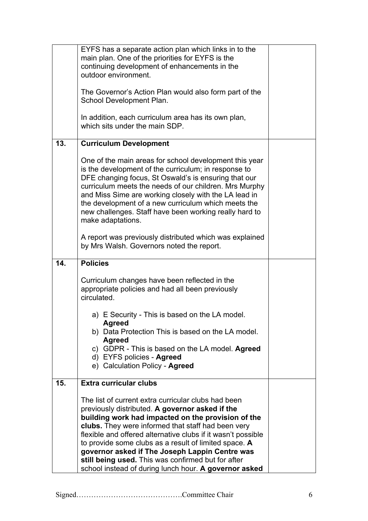|     | EYFS has a separate action plan which links in to the<br>main plan. One of the priorities for EYFS is the                                                                                                                                                                                                                                                                                                                                                                                                    |  |
|-----|--------------------------------------------------------------------------------------------------------------------------------------------------------------------------------------------------------------------------------------------------------------------------------------------------------------------------------------------------------------------------------------------------------------------------------------------------------------------------------------------------------------|--|
|     | continuing development of enhancements in the                                                                                                                                                                                                                                                                                                                                                                                                                                                                |  |
|     | outdoor environment.                                                                                                                                                                                                                                                                                                                                                                                                                                                                                         |  |
|     | The Governor's Action Plan would also form part of the<br>School Development Plan.                                                                                                                                                                                                                                                                                                                                                                                                                           |  |
|     | In addition, each curriculum area has its own plan,<br>which sits under the main SDP.                                                                                                                                                                                                                                                                                                                                                                                                                        |  |
| 13. | <b>Curriculum Development</b>                                                                                                                                                                                                                                                                                                                                                                                                                                                                                |  |
|     | One of the main areas for school development this year<br>is the development of the curriculum; in response to<br>DFE changing focus, St Oswald's is ensuring that our<br>curriculum meets the needs of our children. Mrs Murphy<br>and Miss Sime are working closely with the LA lead in<br>the development of a new curriculum which meets the<br>new challenges. Staff have been working really hard to<br>make adaptations.                                                                              |  |
|     | A report was previously distributed which was explained<br>by Mrs Walsh. Governors noted the report.                                                                                                                                                                                                                                                                                                                                                                                                         |  |
| 14. | <b>Policies</b>                                                                                                                                                                                                                                                                                                                                                                                                                                                                                              |  |
|     | Curriculum changes have been reflected in the<br>appropriate policies and had all been previously<br>circulated.                                                                                                                                                                                                                                                                                                                                                                                             |  |
|     | a) E Security - This is based on the LA model.                                                                                                                                                                                                                                                                                                                                                                                                                                                               |  |
|     | Agreed<br>b) Data Protection This is based on the LA model.<br><b>Agreed</b>                                                                                                                                                                                                                                                                                                                                                                                                                                 |  |
|     | c) GDPR - This is based on the LA model. Agreed<br>d) EYFS policies - Agreed                                                                                                                                                                                                                                                                                                                                                                                                                                 |  |
|     | e) Calculation Policy - Agreed                                                                                                                                                                                                                                                                                                                                                                                                                                                                               |  |
| 15. | Extra curricular clubs                                                                                                                                                                                                                                                                                                                                                                                                                                                                                       |  |
|     | The list of current extra curricular clubs had been<br>previously distributed. A governor asked if the<br>building work had impacted on the provision of the<br>clubs. They were informed that staff had been very<br>flexible and offered alternative clubs if it wasn't possible<br>to provide some clubs as a result of limited space. A<br>governor asked if The Joseph Lappin Centre was<br>still being used. This was confirmed but for after<br>school instead of during lunch hour. A governor asked |  |